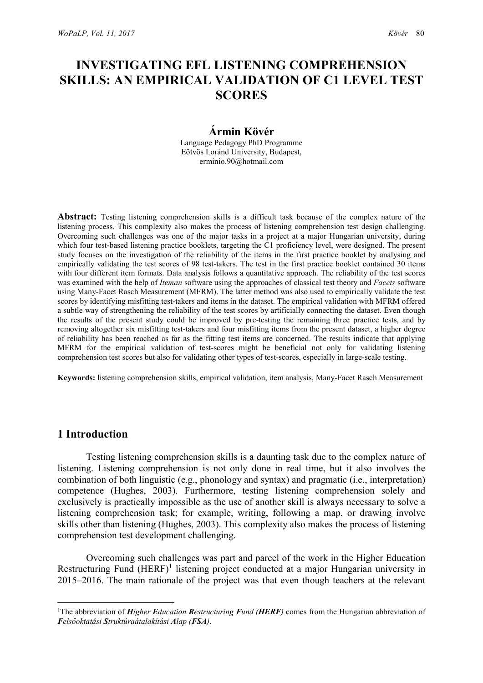# INVESTIGATING EFL LISTENING COMPREHENSION SKILLS: AN EMPIRICAL VALIDATION OF C1 LEVEL TEST **SCORES**

# Ármin Kövér

Language Pedagogy PhD Programme Eötvös Loránd University, Budapest, erminio.90@hotmail.com

Abstract: Testing listening comprehension skills is a difficult task because of the complex nature of the listening process. This complexity also makes the process of listening comprehension test design challenging. Overcoming such challenges was one of the major tasks in a project at a major Hungarian university, during which four test-based listening practice booklets, targeting the C1 proficiency level, were designed. The present study focuses on the investigation of the reliability of the items in the first practice booklet by analysing and empirically validating the test scores of 98 test-takers. The test in the first practice booklet contained 30 items with four different item formats. Data analysis follows a quantitative approach. The reliability of the test scores was examined with the help of *Iteman* software using the approaches of classical test theory and *Facets* software using Many-Facet Rasch Measurement (MFRM). The latter method was also used to empirically validate the test scores by identifying misfitting test-takers and items in the dataset. The empirical validation with MFRM offered a subtle way of strengthening the reliability of the test scores by artificially connecting the dataset. Even though the results of the present study could be improved by pre-testing the remaining three practice tests, and by removing altogether six misfitting test-takers and four misfitting items from the present dataset, a higher degree of reliability has been reached as far as the fitting test items are concerned. The results indicate that applying MFRM for the empirical validation of test-scores might be beneficial not only for validating listening comprehension test scores but also for validating other types of test-scores, especially in large-scale testing.

Keywords: listening comprehension skills, empirical validation, item analysis, Many-Facet Rasch Measurement

# 1 Introduction

Testing listening comprehension skills is a daunting task due to the complex nature of listening. Listening comprehension is not only done in real time, but it also involves the combination of both linguistic (e.g., phonology and syntax) and pragmatic (i.e., interpretation) competence (Hughes, 2003). Furthermore, testing listening comprehension solely and exclusively is practically impossible as the use of another skill is always necessary to solve a listening comprehension task; for example, writing, following a map, or drawing involve skills other than listening (Hughes, 2003). This complexity also makes the process of listening comprehension test development challenging.

Overcoming such challenges was part and parcel of the work in the Higher Education Restructuring Fund (HERF)<sup>1</sup> listening project conducted at a major Hungarian university in 2015–2016. The main rationale of the project was that even though teachers at the relevant

<sup>&</sup>lt;sup>1</sup>The abbreviation of *Higher Education Restructuring Fund (HERF)* comes from the Hungarian abbreviation of Felsőoktatási Struktúraátalakítási Alap (FSA).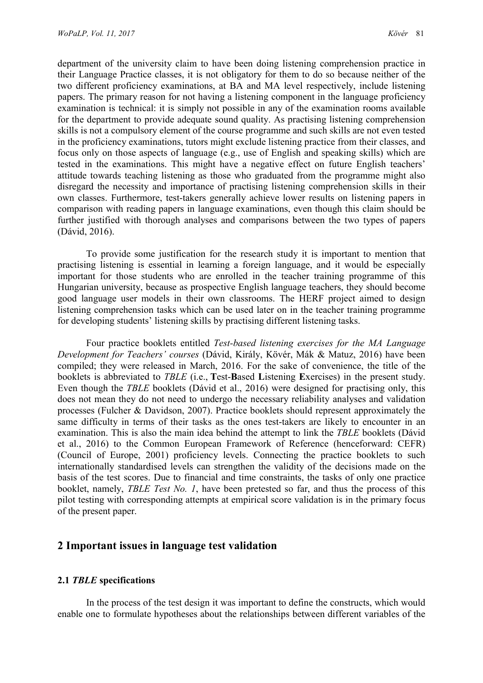department of the university claim to have been doing listening comprehension practice in their Language Practice classes, it is not obligatory for them to do so because neither of the two different proficiency examinations, at BA and MA level respectively, include listening papers. The primary reason for not having a listening component in the language proficiency examination is technical: it is simply not possible in any of the examination rooms available for the department to provide adequate sound quality. As practising listening comprehension skills is not a compulsory element of the course programme and such skills are not even tested in the proficiency examinations, tutors might exclude listening practice from their classes, and focus only on those aspects of language (e.g., use of English and speaking skills) which are tested in the examinations. This might have a negative effect on future English teachers' attitude towards teaching listening as those who graduated from the programme might also disregard the necessity and importance of practising listening comprehension skills in their own classes. Furthermore, test-takers generally achieve lower results on listening papers in comparison with reading papers in language examinations, even though this claim should be further justified with thorough analyses and comparisons between the two types of papers (Dávid, 2016).

To provide some justification for the research study it is important to mention that practising listening is essential in learning a foreign language, and it would be especially important for those students who are enrolled in the teacher training programme of this Hungarian university, because as prospective English language teachers, they should become good language user models in their own classrooms. The HERF project aimed to design listening comprehension tasks which can be used later on in the teacher training programme for developing students' listening skills by practising different listening tasks.

Four practice booklets entitled Test-based listening exercises for the MA Language Development for Teachers' courses (Dávid, Király, Kövér, Mák & Matuz, 2016) have been compiled; they were released in March, 2016. For the sake of convenience, the title of the booklets is abbreviated to TBLE (i.e., Test-Based Listening Exercises) in the present study. Even though the TBLE booklets (Dávid et al., 2016) were designed for practising only, this does not mean they do not need to undergo the necessary reliability analyses and validation processes (Fulcher & Davidson, 2007). Practice booklets should represent approximately the same difficulty in terms of their tasks as the ones test-takers are likely to encounter in an examination. This is also the main idea behind the attempt to link the TBLE booklets (Dávid et al., 2016) to the Common European Framework of Reference (henceforward: CEFR) (Council of Europe, 2001) proficiency levels. Connecting the practice booklets to such internationally standardised levels can strengthen the validity of the decisions made on the basis of the test scores. Due to financial and time constraints, the tasks of only one practice booklet, namely, TBLE Test No. 1, have been pretested so far, and thus the process of this pilot testing with corresponding attempts at empirical score validation is in the primary focus of the present paper.

### 2 Important issues in language test validation

#### 2.1 TBLE specifications

In the process of the test design it was important to define the constructs, which would enable one to formulate hypotheses about the relationships between different variables of the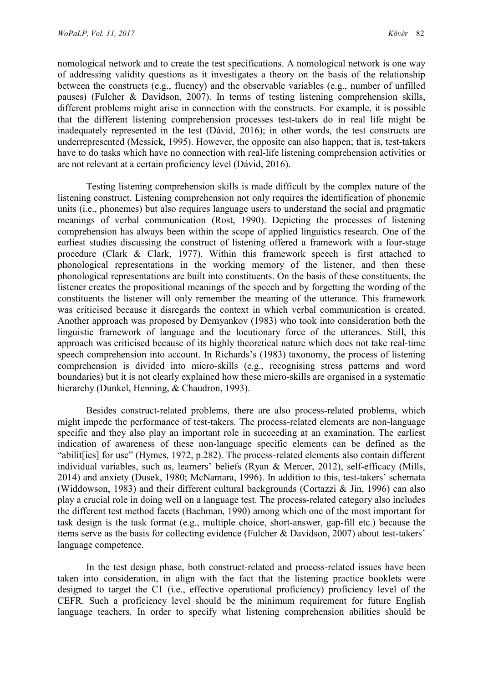nomological network and to create the test specifications. A nomological network is one way of addressing validity questions as it investigates a theory on the basis of the relationship between the constructs (e.g., fluency) and the observable variables (e.g., number of unfilled pauses) (Fulcher & Davidson, 2007). In terms of testing listening comprehension skills, different problems might arise in connection with the constructs. For example, it is possible that the different listening comprehension processes test-takers do in real life might be inadequately represented in the test (Dávid, 2016); in other words, the test constructs are underrepresented (Messick, 1995). However, the opposite can also happen; that is, test-takers have to do tasks which have no connection with real-life listening comprehension activities or are not relevant at a certain proficiency level (Dávid, 2016).

Testing listening comprehension skills is made difficult by the complex nature of the listening construct. Listening comprehension not only requires the identification of phonemic units (i.e., phonemes) but also requires language users to understand the social and pragmatic meanings of verbal communication (Rost, 1990). Depicting the processes of listening comprehension has always been within the scope of applied linguistics research. One of the earliest studies discussing the construct of listening offered a framework with a four-stage procedure (Clark & Clark, 1977). Within this framework speech is first attached to phonological representations in the working memory of the listener, and then these phonological representations are built into constituents. On the basis of these constituents, the listener creates the propositional meanings of the speech and by forgetting the wording of the constituents the listener will only remember the meaning of the utterance. This framework was criticised because it disregards the context in which verbal communication is created. Another approach was proposed by Demyankov (1983) who took into consideration both the linguistic framework of language and the locutionary force of the utterances. Still, this approach was criticised because of its highly theoretical nature which does not take real-time speech comprehension into account. In Richards's (1983) taxonomy, the process of listening comprehension is divided into micro-skills (e.g., recognising stress patterns and word boundaries) but it is not clearly explained how these micro-skills are organised in a systematic hierarchy (Dunkel, Henning, & Chaudron, 1993).

Besides construct-related problems, there are also process-related problems, which might impede the performance of test-takers. The process-related elements are non-language specific and they also play an important role in succeeding at an examination. The earliest indication of awareness of these non-language specific elements can be defined as the "abilit[ies] for use" (Hymes, 1972, p.282). The process-related elements also contain different individual variables, such as, learners' beliefs (Ryan & Mercer, 2012), self-efficacy (Mills, 2014) and anxiety (Dusek, 1980; McNamara, 1996). In addition to this, test-takers' schemata (Widdowson, 1983) and their different cultural backgrounds (Cortazzi & Jin, 1996) can also play a crucial role in doing well on a language test. The process-related category also includes the different test method facets (Bachman, 1990) among which one of the most important for task design is the task format (e.g., multiple choice, short-answer, gap-fill etc.) because the items serve as the basis for collecting evidence (Fulcher & Davidson, 2007) about test-takers' language competence.

In the test design phase, both construct-related and process-related issues have been taken into consideration, in align with the fact that the listening practice booklets were designed to target the C1 (i.e., effective operational proficiency) proficiency level of the CEFR. Such a proficiency level should be the minimum requirement for future English language teachers. In order to specify what listening comprehension abilities should be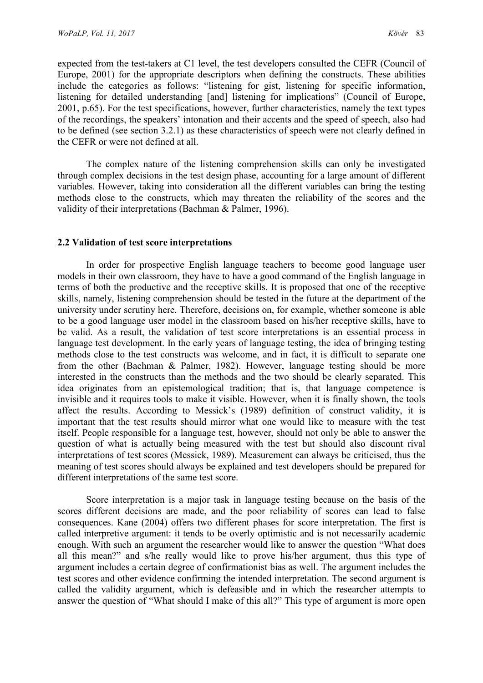expected from the test-takers at C1 level, the test developers consulted the CEFR (Council of Europe, 2001) for the appropriate descriptors when defining the constructs. These abilities include the categories as follows: "listening for gist, listening for specific information, listening for detailed understanding [and] listening for implications" (Council of Europe, 2001, p.65). For the test specifications, however, further characteristics, namely the text types of the recordings, the speakers' intonation and their accents and the speed of speech, also had to be defined (see section 3.2.1) as these characteristics of speech were not clearly defined in the CEFR or were not defined at all.

The complex nature of the listening comprehension skills can only be investigated through complex decisions in the test design phase, accounting for a large amount of different variables. However, taking into consideration all the different variables can bring the testing methods close to the constructs, which may threaten the reliability of the scores and the validity of their interpretations (Bachman & Palmer, 1996).

#### 2.2 Validation of test score interpretations

In order for prospective English language teachers to become good language user models in their own classroom, they have to have a good command of the English language in terms of both the productive and the receptive skills. It is proposed that one of the receptive skills, namely, listening comprehension should be tested in the future at the department of the university under scrutiny here. Therefore, decisions on, for example, whether someone is able to be a good language user model in the classroom based on his/her receptive skills, have to be valid. As a result, the validation of test score interpretations is an essential process in language test development. In the early years of language testing, the idea of bringing testing methods close to the test constructs was welcome, and in fact, it is difficult to separate one from the other (Bachman & Palmer, 1982). However, language testing should be more interested in the constructs than the methods and the two should be clearly separated. This idea originates from an epistemological tradition; that is, that language competence is invisible and it requires tools to make it visible. However, when it is finally shown, the tools affect the results. According to Messick's (1989) definition of construct validity, it is important that the test results should mirror what one would like to measure with the test itself. People responsible for a language test, however, should not only be able to answer the question of what is actually being measured with the test but should also discount rival interpretations of test scores (Messick, 1989). Measurement can always be criticised, thus the meaning of test scores should always be explained and test developers should be prepared for different interpretations of the same test score.

Score interpretation is a major task in language testing because on the basis of the scores different decisions are made, and the poor reliability of scores can lead to false consequences. Kane (2004) offers two different phases for score interpretation. The first is called interpretive argument: it tends to be overly optimistic and is not necessarily academic enough. With such an argument the researcher would like to answer the question "What does all this mean?" and s/he really would like to prove his/her argument, thus this type of argument includes a certain degree of confirmationist bias as well. The argument includes the test scores and other evidence confirming the intended interpretation. The second argument is called the validity argument, which is defeasible and in which the researcher attempts to answer the question of "What should I make of this all?" This type of argument is more open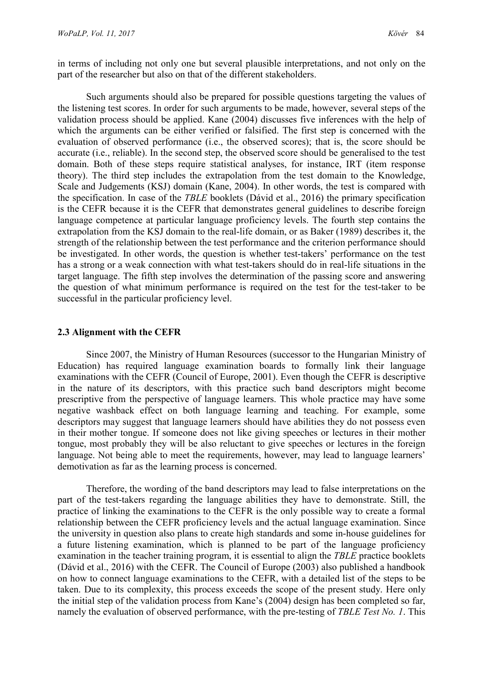in terms of including not only one but several plausible interpretations, and not only on the part of the researcher but also on that of the different stakeholders.

Such arguments should also be prepared for possible questions targeting the values of the listening test scores. In order for such arguments to be made, however, several steps of the validation process should be applied. Kane (2004) discusses five inferences with the help of which the arguments can be either verified or falsified. The first step is concerned with the evaluation of observed performance (i.e., the observed scores); that is, the score should be accurate (i.e., reliable). In the second step, the observed score should be generalised to the test domain. Both of these steps require statistical analyses, for instance, IRT (item response theory). The third step includes the extrapolation from the test domain to the Knowledge, Scale and Judgements (KSJ) domain (Kane, 2004). In other words, the test is compared with the specification. In case of the TBLE booklets (Dávid et al., 2016) the primary specification is the CEFR because it is the CEFR that demonstrates general guidelines to describe foreign language competence at particular language proficiency levels. The fourth step contains the extrapolation from the KSJ domain to the real-life domain, or as Baker (1989) describes it, the strength of the relationship between the test performance and the criterion performance should be investigated. In other words, the question is whether test-takers' performance on the test has a strong or a weak connection with what test-takers should do in real-life situations in the target language. The fifth step involves the determination of the passing score and answering the question of what minimum performance is required on the test for the test-taker to be successful in the particular proficiency level.

#### 2.3 Alignment with the CEFR

Since 2007, the Ministry of Human Resources (successor to the Hungarian Ministry of Education) has required language examination boards to formally link their language examinations with the CEFR (Council of Europe, 2001). Even though the CEFR is descriptive in the nature of its descriptors, with this practice such band descriptors might become prescriptive from the perspective of language learners. This whole practice may have some negative washback effect on both language learning and teaching. For example, some descriptors may suggest that language learners should have abilities they do not possess even in their mother tongue. If someone does not like giving speeches or lectures in their mother tongue, most probably they will be also reluctant to give speeches or lectures in the foreign language. Not being able to meet the requirements, however, may lead to language learners' demotivation as far as the learning process is concerned.

Therefore, the wording of the band descriptors may lead to false interpretations on the part of the test-takers regarding the language abilities they have to demonstrate. Still, the practice of linking the examinations to the CEFR is the only possible way to create a formal relationship between the CEFR proficiency levels and the actual language examination. Since the university in question also plans to create high standards and some in-house guidelines for a future listening examination, which is planned to be part of the language proficiency examination in the teacher training program, it is essential to align the TBLE practice booklets (Dávid et al., 2016) with the CEFR. The Council of Europe (2003) also published a handbook on how to connect language examinations to the CEFR, with a detailed list of the steps to be taken. Due to its complexity, this process exceeds the scope of the present study. Here only the initial step of the validation process from Kane's (2004) design has been completed so far, namely the evaluation of observed performance, with the pre-testing of TBLE Test No. 1. This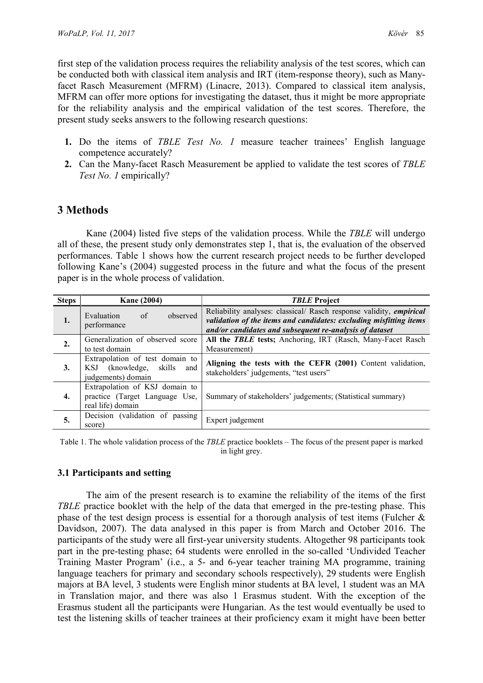first step of the validation process requires the reliability analysis of the test scores, which can be conducted both with classical item analysis and IRT (item-response theory), such as Manyfacet Rasch Measurement (MFRM) (Linacre, 2013). Compared to classical item analysis, MFRM can offer more options for investigating the dataset, thus it might be more appropriate for the reliability analysis and the empirical validation of the test scores. Therefore, the present study seeks answers to the following research questions:

- 1. Do the items of TBLE Test No. 1 measure teacher trainees' English language competence accurately?
- 2. Can the Many-facet Rasch Measurement be applied to validate the test scores of TBLE Test No. 1 empirically?

# 3 Methods

Kane (2004) listed five steps of the validation process. While the TBLE will undergo all of these, the present study only demonstrates step 1, that is, the evaluation of the observed performances. Table 1 shows how the current research project needs to be further developed following Kane's (2004) suggested process in the future and what the focus of the present paper is in the whole process of validation.

| <b>Steps</b> | <b>Kane (2004)</b>                                                                         | <b>TBLE Project</b>                                                                                                                                                                                  |  |  |  |
|--------------|--------------------------------------------------------------------------------------------|------------------------------------------------------------------------------------------------------------------------------------------------------------------------------------------------------|--|--|--|
| 1.           | observed<br>Evaluation<br>of<br>performance                                                | Reliability analyses: classical/ Rasch response validity, empirical<br>validation of the items and candidates: excluding misfitting items<br>and/or candidates and subsequent re-analysis of dataset |  |  |  |
| 2.           | Generalization of observed score<br>to test domain                                         | All the TBLE tests; Anchoring, IRT (Rasch, Many-Facet Rasch<br>Measurement)                                                                                                                          |  |  |  |
| 3.           | Extrapolation of test domain to<br>(knowledge, skills)<br>KSJ<br>and<br>judgements) domain | Aligning the tests with the CEFR (2001) Content validation,<br>stakeholders' judgements, "test users"                                                                                                |  |  |  |
| 4.           | Extrapolation of KSJ domain to<br>practice (Target Language Use,<br>real life) domain      | Summary of stakeholders' judgements; (Statistical summary)                                                                                                                                           |  |  |  |
| 5.           | Decision (validation of passing<br>score)                                                  | Expert judgement                                                                                                                                                                                     |  |  |  |

Table 1. The whole validation process of the TBLE practice booklets – The focus of the present paper is marked in light grey.

# 3.1 Participants and setting

The aim of the present research is to examine the reliability of the items of the first TBLE practice booklet with the help of the data that emerged in the pre-testing phase. This phase of the test design process is essential for a thorough analysis of test items (Fulcher & Davidson, 2007). The data analysed in this paper is from March and October 2016. The participants of the study were all first-year university students. Altogether 98 participants took part in the pre-testing phase; 64 students were enrolled in the so-called 'Undivided Teacher Training Master Program' (i.e., a 5- and 6-year teacher training MA programme, training language teachers for primary and secondary schools respectively), 29 students were English majors at BA level, 3 students were English minor students at BA level, 1 student was an MA in Translation major, and there was also 1 Erasmus student. With the exception of the Erasmus student all the participants were Hungarian. As the test would eventually be used to test the listening skills of teacher trainees at their proficiency exam it might have been better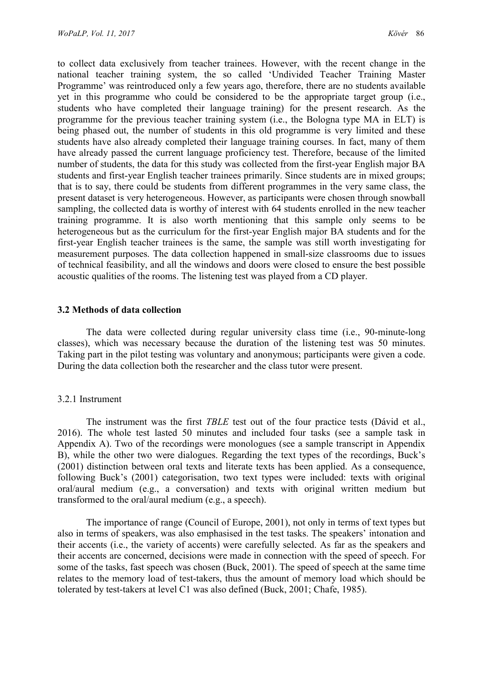to collect data exclusively from teacher trainees. However, with the recent change in the national teacher training system, the so called 'Undivided Teacher Training Master Programme' was reintroduced only a few years ago, therefore, there are no students available yet in this programme who could be considered to be the appropriate target group (i.e., students who have completed their language training) for the present research. As the programme for the previous teacher training system (i.e., the Bologna type MA in ELT) is being phased out, the number of students in this old programme is very limited and these students have also already completed their language training courses. In fact, many of them have already passed the current language proficiency test. Therefore, because of the limited number of students, the data for this study was collected from the first-year English major BA students and first-year English teacher trainees primarily. Since students are in mixed groups; that is to say, there could be students from different programmes in the very same class, the present dataset is very heterogeneous. However, as participants were chosen through snowball sampling, the collected data is worthy of interest with 64 students enrolled in the new teacher training programme. It is also worth mentioning that this sample only seems to be heterogeneous but as the curriculum for the first-year English major BA students and for the first-year English teacher trainees is the same, the sample was still worth investigating for measurement purposes. The data collection happened in small-size classrooms due to issues of technical feasibility, and all the windows and doors were closed to ensure the best possible acoustic qualities of the rooms. The listening test was played from a CD player.

#### 3.2 Methods of data collection

The data were collected during regular university class time (i.e., 90-minute-long classes), which was necessary because the duration of the listening test was 50 minutes. Taking part in the pilot testing was voluntary and anonymous; participants were given a code. During the data collection both the researcher and the class tutor were present.

#### 3.2.1 Instrument

The instrument was the first *TBLE* test out of the four practice tests (Dávid et al., 2016). The whole test lasted 50 minutes and included four tasks (see a sample task in Appendix A). Two of the recordings were monologues (see a sample transcript in Appendix B), while the other two were dialogues. Regarding the text types of the recordings, Buck's (2001) distinction between oral texts and literate texts has been applied. As a consequence, following Buck's (2001) categorisation, two text types were included: texts with original oral/aural medium (e.g., a conversation) and texts with original written medium but transformed to the oral/aural medium (e.g., a speech).

The importance of range (Council of Europe, 2001), not only in terms of text types but also in terms of speakers, was also emphasised in the test tasks. The speakers' intonation and their accents (i.e., the variety of accents) were carefully selected. As far as the speakers and their accents are concerned, decisions were made in connection with the speed of speech. For some of the tasks, fast speech was chosen (Buck, 2001). The speed of speech at the same time relates to the memory load of test-takers, thus the amount of memory load which should be tolerated by test-takers at level C1 was also defined (Buck, 2001; Chafe, 1985).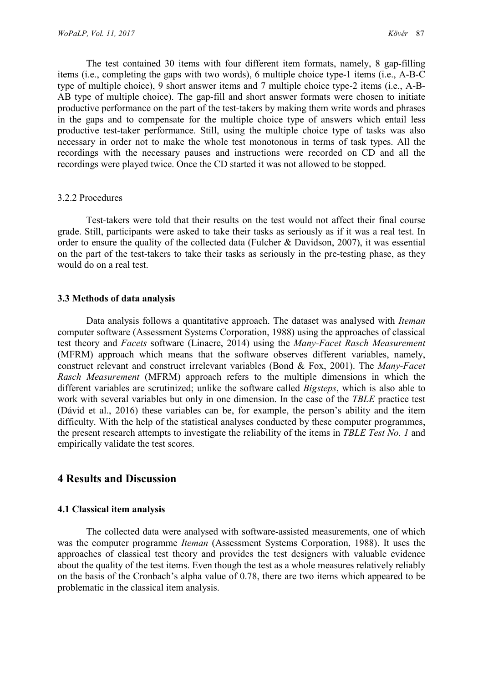The test contained 30 items with four different item formats, namely, 8 gap-filling items (i.e., completing the gaps with two words), 6 multiple choice type-1 items (i.e., A-B-C type of multiple choice), 9 short answer items and 7 multiple choice type-2 items (i.e., A-B-AB type of multiple choice). The gap-fill and short answer formats were chosen to initiate productive performance on the part of the test-takers by making them write words and phrases in the gaps and to compensate for the multiple choice type of answers which entail less productive test-taker performance. Still, using the multiple choice type of tasks was also necessary in order not to make the whole test monotonous in terms of task types. All the recordings with the necessary pauses and instructions were recorded on CD and all the recordings were played twice. Once the CD started it was not allowed to be stopped.

#### 3.2.2 Procedures

Test-takers were told that their results on the test would not affect their final course grade. Still, participants were asked to take their tasks as seriously as if it was a real test. In order to ensure the quality of the collected data (Fulcher & Davidson, 2007), it was essential on the part of the test-takers to take their tasks as seriously in the pre-testing phase, as they would do on a real test.

#### 3.3 Methods of data analysis

Data analysis follows a quantitative approach. The dataset was analysed with *Iteman* computer software (Assessment Systems Corporation, 1988) using the approaches of classical test theory and Facets software (Linacre, 2014) using the Many-Facet Rasch Measurement (MFRM) approach which means that the software observes different variables, namely, construct relevant and construct irrelevant variables (Bond & Fox, 2001). The Many-Facet Rasch Measurement (MFRM) approach refers to the multiple dimensions in which the different variables are scrutinized; unlike the software called Bigsteps, which is also able to work with several variables but only in one dimension. In the case of the TBLE practice test (Dávid et al., 2016) these variables can be, for example, the person's ability and the item difficulty. With the help of the statistical analyses conducted by these computer programmes, the present research attempts to investigate the reliability of the items in TBLE Test No. 1 and empirically validate the test scores.

# 4 Results and Discussion

#### 4.1 Classical item analysis

The collected data were analysed with software-assisted measurements, one of which was the computer programme *Iteman* (Assessment Systems Corporation, 1988). It uses the approaches of classical test theory and provides the test designers with valuable evidence about the quality of the test items. Even though the test as a whole measures relatively reliably on the basis of the Cronbach's alpha value of 0.78, there are two items which appeared to be problematic in the classical item analysis.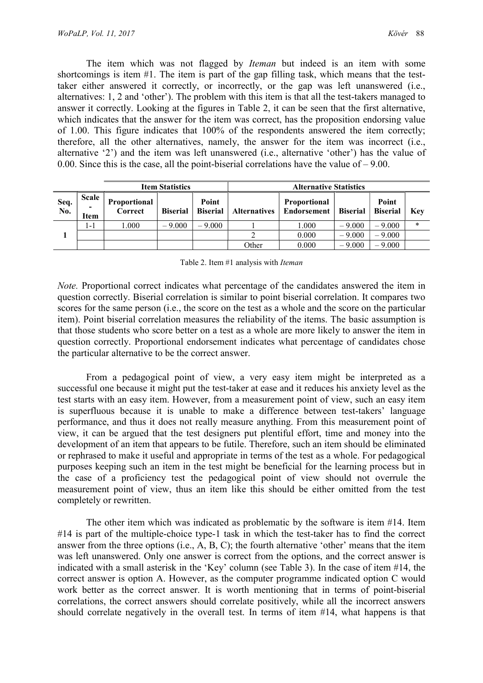The item which was not flagged by Iteman but indeed is an item with some shortcomings is item #1. The item is part of the gap filling task, which means that the testtaker either answered it correctly, or incorrectly, or the gap was left unanswered (i.e., alternatives: 1, 2 and 'other'). The problem with this item is that all the test-takers managed to answer it correctly. Looking at the figures in Table 2, it can be seen that the first alternative, which indicates that the answer for the item was correct, has the proposition endorsing value of 1.00. This figure indicates that 100% of the respondents answered the item correctly; therefore, all the other alternatives, namely, the answer for the item was incorrect (i.e., alternative '2') and the item was left unanswered (i.e., alternative 'other') has the value of 0.00. Since this is the case, all the point-biserial correlations have the value of  $-9.00$ .

|             |                      |                         | <b>Item Statistics</b> |                          | <b>Alternative Statistics</b> |                                      |                 |                          |            |
|-------------|----------------------|-------------------------|------------------------|--------------------------|-------------------------------|--------------------------------------|-----------------|--------------------------|------------|
| Seq.<br>No. | Scale<br><b>Item</b> | Proportional<br>Correct | <b>Biserial</b>        | Point<br><b>Biserial</b> | <b>Alternatives</b>           | <b>Proportional</b><br>  Endorsement | <b>Biserial</b> | Point<br><b>Biserial</b> | <b>Kev</b> |
|             | 1-1                  | 1.000                   | $-9,000$               | $-9.000$                 |                               | 1.000                                | $-9.000$        | $-9.000$                 | $\ast$     |
|             |                      |                         |                        |                          |                               | 0.000                                | $-9.000$        | $-9.000$                 |            |
|             |                      |                         |                        |                          | Other                         | 0.000                                | $-9.000$        | $-9.000$                 |            |

Table 2. Item #1 analysis with Iteman

Note. Proportional correct indicates what percentage of the candidates answered the item in question correctly. Biserial correlation is similar to point biserial correlation. It compares two scores for the same person (i.e., the score on the test as a whole and the score on the particular item). Point biserial correlation measures the reliability of the items. The basic assumption is that those students who score better on a test as a whole are more likely to answer the item in question correctly. Proportional endorsement indicates what percentage of candidates chose the particular alternative to be the correct answer.

From a pedagogical point of view, a very easy item might be interpreted as a successful one because it might put the test-taker at ease and it reduces his anxiety level as the test starts with an easy item. However, from a measurement point of view, such an easy item is superfluous because it is unable to make a difference between test-takers' language performance, and thus it does not really measure anything. From this measurement point of view, it can be argued that the test designers put plentiful effort, time and money into the development of an item that appears to be futile. Therefore, such an item should be eliminated or rephrased to make it useful and appropriate in terms of the test as a whole. For pedagogical purposes keeping such an item in the test might be beneficial for the learning process but in the case of a proficiency test the pedagogical point of view should not overrule the measurement point of view, thus an item like this should be either omitted from the test completely or rewritten.

The other item which was indicated as problematic by the software is item #14. Item #14 is part of the multiple-choice type-1 task in which the test-taker has to find the correct answer from the three options (i.e., A, B, C); the fourth alternative 'other' means that the item was left unanswered. Only one answer is correct from the options, and the correct answer is indicated with a small asterisk in the 'Key' column (see Table 3). In the case of item #14, the correct answer is option A. However, as the computer programme indicated option C would work better as the correct answer. It is worth mentioning that in terms of point-biserial correlations, the correct answers should correlate positively, while all the incorrect answers should correlate negatively in the overall test. In terms of item #14, what happens is that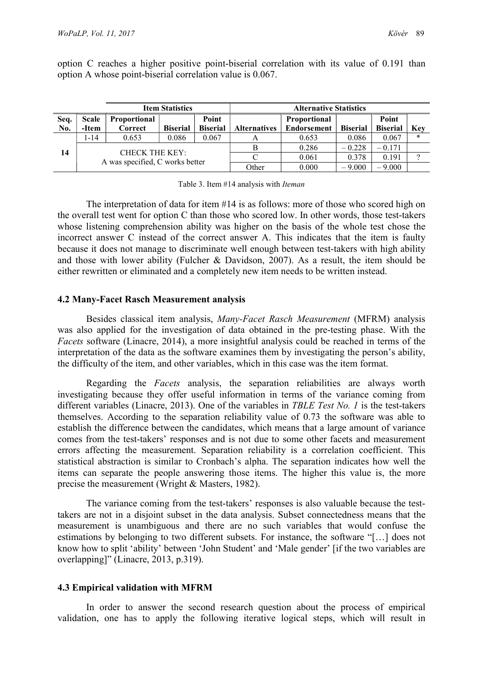option C reaches a higher positive point-biserial correlation with its value of 0.191 than option A whose point-biserial correlation value is 0.067.

|      |                                 |                       | <b>Item Statistics</b> |                 | <b>Alternative Statistics</b> |                    |                 |                 |            |  |
|------|---------------------------------|-----------------------|------------------------|-----------------|-------------------------------|--------------------|-----------------|-----------------|------------|--|
| Seq. | Scale                           | <b>Proportional</b>   |                        | Point           |                               | Proportional       |                 | Point           |            |  |
| No.  | -Item                           | Correct               | <b>Biserial</b>        | <b>Biserial</b> | <b>Alternatives</b>           | <b>Endorsement</b> | <b>Biserial</b> | <b>Biserial</b> | <b>Kev</b> |  |
| 14   | 1-14                            | 0.653                 | 0.086                  | 0.067           | А                             | 0.653              | 0.086           | 0.067           | ∗          |  |
|      |                                 | <b>CHECK THE KEY:</b> |                        |                 |                               | 0.286              | $-0.228$        | $-0.171$        |            |  |
|      |                                 |                       |                        |                 |                               | 0.061              | 0.378           | 0.191           | $\Omega$   |  |
|      | A was specified, C works better |                       |                        |                 | Other                         | 0.000              | $-9.000$        | $-9.000$        |            |  |

Table 3. Item #14 analysis with Iteman

The interpretation of data for item #14 is as follows: more of those who scored high on the overall test went for option C than those who scored low. In other words, those test-takers whose listening comprehension ability was higher on the basis of the whole test chose the incorrect answer C instead of the correct answer A. This indicates that the item is faulty because it does not manage to discriminate well enough between test-takers with high ability and those with lower ability (Fulcher & Davidson, 2007). As a result, the item should be either rewritten or eliminated and a completely new item needs to be written instead.

#### 4.2 Many-Facet Rasch Measurement analysis

Besides classical item analysis, Many-Facet Rasch Measurement (MFRM) analysis was also applied for the investigation of data obtained in the pre-testing phase. With the Facets software (Linacre, 2014), a more insightful analysis could be reached in terms of the interpretation of the data as the software examines them by investigating the person's ability, the difficulty of the item, and other variables, which in this case was the item format.

Regarding the Facets analysis, the separation reliabilities are always worth investigating because they offer useful information in terms of the variance coming from different variables (Linacre, 2013). One of the variables in *TBLE Test No. 1* is the test-takers themselves. According to the separation reliability value of 0.73 the software was able to establish the difference between the candidates, which means that a large amount of variance comes from the test-takers' responses and is not due to some other facets and measurement errors affecting the measurement. Separation reliability is a correlation coefficient. This statistical abstraction is similar to Cronbach's alpha. The separation indicates how well the items can separate the people answering those items. The higher this value is, the more precise the measurement (Wright & Masters, 1982).

The variance coming from the test-takers' responses is also valuable because the testtakers are not in a disjoint subset in the data analysis. Subset connectedness means that the measurement is unambiguous and there are no such variables that would confuse the estimations by belonging to two different subsets. For instance, the software "[…] does not know how to split 'ability' between 'John Student' and 'Male gender' [if the two variables are overlapping]" (Linacre, 2013, p.319).

### 4.3 Empirical validation with MFRM

In order to answer the second research question about the process of empirical validation, one has to apply the following iterative logical steps, which will result in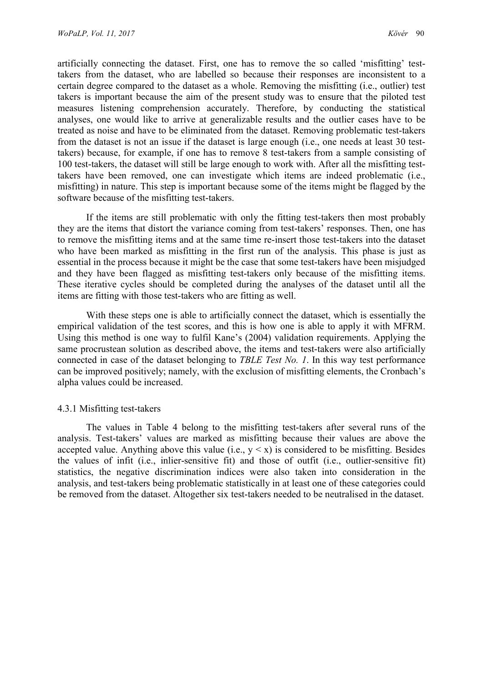artificially connecting the dataset. First, one has to remove the so called 'misfitting' testtakers from the dataset, who are labelled so because their responses are inconsistent to a certain degree compared to the dataset as a whole. Removing the misfitting (i.e., outlier) test takers is important because the aim of the present study was to ensure that the piloted test measures listening comprehension accurately. Therefore, by conducting the statistical analyses, one would like to arrive at generalizable results and the outlier cases have to be treated as noise and have to be eliminated from the dataset. Removing problematic test-takers from the dataset is not an issue if the dataset is large enough (i.e., one needs at least 30 testtakers) because, for example, if one has to remove 8 test-takers from a sample consisting of 100 test-takers, the dataset will still be large enough to work with. After all the misfitting testtakers have been removed, one can investigate which items are indeed problematic (i.e., misfitting) in nature. This step is important because some of the items might be flagged by the software because of the misfitting test-takers.

If the items are still problematic with only the fitting test-takers then most probably they are the items that distort the variance coming from test-takers' responses. Then, one has to remove the misfitting items and at the same time re-insert those test-takers into the dataset who have been marked as misfitting in the first run of the analysis. This phase is just as essential in the process because it might be the case that some test-takers have been misjudged and they have been flagged as misfitting test-takers only because of the misfitting items. These iterative cycles should be completed during the analyses of the dataset until all the items are fitting with those test-takers who are fitting as well.

With these steps one is able to artificially connect the dataset, which is essentially the empirical validation of the test scores, and this is how one is able to apply it with MFRM. Using this method is one way to fulfil Kane's (2004) validation requirements. Applying the same procrustean solution as described above, the items and test-takers were also artificially connected in case of the dataset belonging to TBLE Test No. 1. In this way test performance can be improved positively; namely, with the exclusion of misfitting elements, the Cronbach's alpha values could be increased.

#### 4.3.1 Misfitting test-takers

The values in Table 4 belong to the misfitting test-takers after several runs of the analysis. Test-takers' values are marked as misfitting because their values are above the accepted value. Anything above this value (i.e.,  $y \le x$ ) is considered to be misfitting. Besides the values of infit (i.e., inlier-sensitive fit) and those of outfit (i.e., outlier-sensitive fit) statistics, the negative discrimination indices were also taken into consideration in the analysis, and test-takers being problematic statistically in at least one of these categories could be removed from the dataset. Altogether six test-takers needed to be neutralised in the dataset.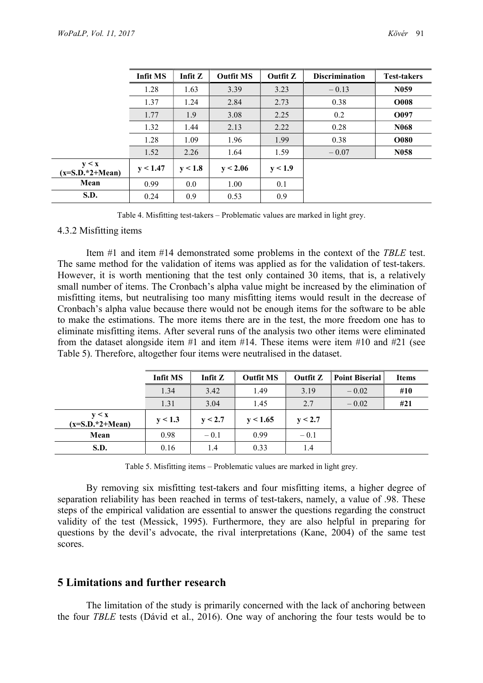|                           | <b>Infit MS</b> | Infit $Z$ | <b>Outfit MS</b> | Outfit Z | <b>Discrimination</b> | <b>Test-takers</b> |
|---------------------------|-----------------|-----------|------------------|----------|-----------------------|--------------------|
|                           | 1.28            | 1.63      | 3.39             | 3.23     | $-0.13$               | N <sub>059</sub>   |
|                           | 1.37            | 1.24      | 2.84             | 2.73     | 0.38                  | <b>O008</b>        |
|                           | 1.77            | 1.9       | 3.08             | 2.25     | 0.2                   | O097               |
|                           | 1.32            | 1.44      | 2.13             | 2.22     | 0.28                  | N <sub>068</sub>   |
|                           | 1.28            | 1.09      | 1.96             | 1.99     | 0.38                  | <b>O080</b>        |
|                           | 1.52            | 2.26      | 1.64             | 1.59     | $-0.07$               | N <sub>058</sub>   |
| y < x<br>$(x=SD.*2+Mean)$ | y < 1.47        | v < 1.8   | y < 2.06         | y < 1.9  |                       |                    |
| Mean                      | 0.99            | 0.0       | 1.00             | 0.1      |                       |                    |
| S.D.                      | 0.24            | 0.9       | 0.53             | 0.9      |                       |                    |

Table 4. Misfitting test-takers – Problematic values are marked in light grey.

#### 4.3.2 Misfitting items

Item #1 and item #14 demonstrated some problems in the context of the TBLE test. The same method for the validation of items was applied as for the validation of test-takers. However, it is worth mentioning that the test only contained 30 items, that is, a relatively small number of items. The Cronbach's alpha value might be increased by the elimination of misfitting items, but neutralising too many misfitting items would result in the decrease of Cronbach's alpha value because there would not be enough items for the software to be able to make the estimations. The more items there are in the test, the more freedom one has to eliminate misfitting items. After several runs of the analysis two other items were eliminated from the dataset alongside item  $#1$  and item  $#14$ . These items were item  $#10$  and  $#21$  (see Table 5). Therefore, altogether four items were neutralised in the dataset.

|                           | <b>Infit MS</b> | Infit Z | <b>Outfit MS</b> | Outfit Z | <b>Point Biserial</b> | <b>Items</b> |
|---------------------------|-----------------|---------|------------------|----------|-----------------------|--------------|
|                           | 1.34            | 3.42    | 1.49             | 3.19     | $-0.02$               | #10          |
|                           | 1.31            | 3.04    | 1.45             | 2.7      | $-0.02$               | #21          |
| y < x<br>$(x=SD.*2+Mean)$ | y < 1.3         | y < 2.7 | y < 1.65         | y < 2.7  |                       |              |
| Mean                      | 0.98            | $-0.1$  | 0.99             | $-0.1$   |                       |              |
| S.D.                      | 0.16            | 1.4     | 0.33             | 1.4      |                       |              |

Table 5. Misfitting items – Problematic values are marked in light grey.

By removing six misfitting test-takers and four misfitting items, a higher degree of separation reliability has been reached in terms of test-takers, namely, a value of .98. These steps of the empirical validation are essential to answer the questions regarding the construct validity of the test (Messick, 1995). Furthermore, they are also helpful in preparing for questions by the devil's advocate, the rival interpretations (Kane, 2004) of the same test scores.

# 5 Limitations and further research

The limitation of the study is primarily concerned with the lack of anchoring between the four TBLE tests (Dávid et al., 2016). One way of anchoring the four tests would be to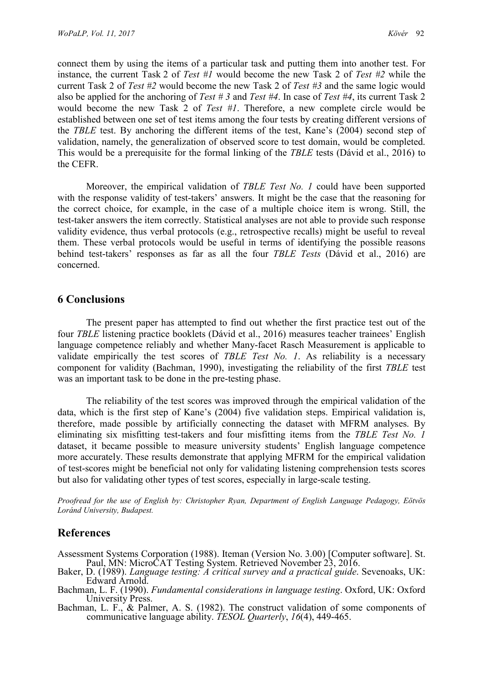connect them by using the items of a particular task and putting them into another test. For instance, the current Task 2 of Test #1 would become the new Task 2 of Test #2 while the current Task 2 of Test  $\#2$  would become the new Task 2 of Test  $\#3$  and the same logic would also be applied for the anchoring of Test #3 and Test #4. In case of Test #4, its current Task 2 would become the new Task 2 of Test #1. Therefore, a new complete circle would be established between one set of test items among the four tests by creating different versions of the TBLE test. By anchoring the different items of the test, Kane's (2004) second step of validation, namely, the generalization of observed score to test domain, would be completed. This would be a prerequisite for the formal linking of the TBLE tests (Dávid et al., 2016) to the CEFR.

Moreover, the empirical validation of TBLE Test No. 1 could have been supported with the response validity of test-takers' answers. It might be the case that the reasoning for the correct choice, for example, in the case of a multiple choice item is wrong. Still, the test-taker answers the item correctly. Statistical analyses are not able to provide such response validity evidence, thus verbal protocols (e.g., retrospective recalls) might be useful to reveal them. These verbal protocols would be useful in terms of identifying the possible reasons behind test-takers' responses as far as all the four *TBLE Tests* (Dávid et al., 2016) are concerned.

# 6 Conclusions

The present paper has attempted to find out whether the first practice test out of the four TBLE listening practice booklets (Dávid et al., 2016) measures teacher trainees' English language competence reliably and whether Many-facet Rasch Measurement is applicable to validate empirically the test scores of TBLE Test No. 1. As reliability is a necessary component for validity (Bachman, 1990), investigating the reliability of the first TBLE test was an important task to be done in the pre-testing phase.

The reliability of the test scores was improved through the empirical validation of the data, which is the first step of Kane's (2004) five validation steps. Empirical validation is, therefore, made possible by artificially connecting the dataset with MFRM analyses. By eliminating six misfitting test-takers and four misfitting items from the *TBLE Test No. 1* dataset, it became possible to measure university students' English language competence more accurately. These results demonstrate that applying MFRM for the empirical validation of test-scores might be beneficial not only for validating listening comprehension tests scores but also for validating other types of test scores, especially in large-scale testing.

Proofread for the use of English by: Christopher Ryan, Department of English Language Pedagogy, Eötvös Loránd University, Budapest.

# References

Assessment Systems Corporation (1988). Iteman (Version No. 3.00) [Computer software]. St. Paul, MN: MicroCAT Testing System. Retrieved November 23, 2016.

- Baker, D. (1989). Language testing: A critical survey and a practical guide. Sevenoaks, UK: Edward Arnold.
- Bachman, L. F. (1990). Fundamental considerations in language testing. Oxford, UK: Oxford University Press.

Bachman, L. F., & Palmer, A. S. (1982). The construct validation of some components of communicative language ability. TESOL Quarterly, 16(4), 449-465.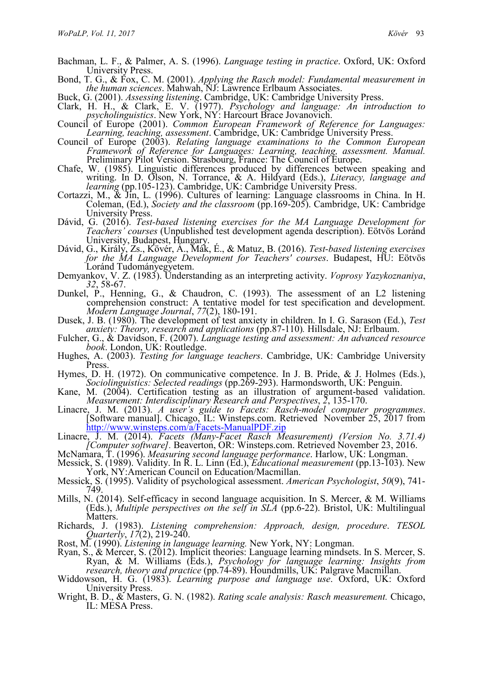- Bachman, L. F., & Palmer, A. S. (1996). Language testing in practice. Oxford, UK: Oxford University Press.
- Bond, T. G., & Fox, C. M. (2001). Applying the Rasch model: Fundamental measurement in the human sciences. Mahwah, NJ: Lawrence Erlbaum Associates.
- Buck, G. (2001). Assessing listening. Cambridge, UK: Cambridge University Press.
- Clark, H. H., & Clark, E. V.  $(1977)$ . Psychology and language: An introduction to psycholinguistics. New York, NY: Harcourt Brace Jovanovich.
- Council of Europe (2001). Common European Framework of Reference for Languages: Learning, teaching, assessment. Cambridge, UK: Cambridge University Press.
- Council of Europe (2003). Relating language examinations to the Common European Framework of Reference for Languages: Learning, teaching, assessment. Manual. Preliminary Pilot Version. Strasbourg, France: The Council of Europe.
- Chafe, W. (1985). Linguistic differences produced by differences between speaking and writing. In D. Olson, N. Torrance, & A. Hildyard (Eds.), Literacy, language and learning (pp.105-123). Cambridge, UK: Cambridge University Press.
- Cortazzi, M., & Jin, L. (1996). Cultures of learning: Language classrooms in China. In H. Coleman, (Ed.), Society and the classroom (pp.169-205). Cambridge, UK: Cambridge University Press.
- Dávid, G. (2016). Test-based listening exercises for the MA Language Development for Teachers' courses (Unpublished test development agenda description). Eötvös Loránd University, Budapest, Hungary.
- Dávid, G., Király, Zs., Kövér, Á., Mák, É., & Matuz, B. (2016). Test-based listening exercises for the MA Language Development for Teachers' courses. Budapest, HU: Eötvös Loránd Tudományegyetem.
- Demyankov, V. Z. (1983). Understanding as an interpreting activity. Voprosy Yazykoznaniya, 32, 58-67.
- Dunkel, P., Henning, G., & Chaudron, C. (1993). The assessment of an L2 listening comprehension construct: A tentative model for test specification and development. Modern Language Journal, 77(2), 180-191.
- Dusek, J. B. (1980). The development of test anxiety in children. In I. G. Sarason (Ed.), Test anxiety: Theory, research and applications (pp.87-110). Hillsdale, NJ: Erlbaum.
- Fulcher, G., & Davidson, F. (2007). Language testing and assessment: An advanced resource book. London, UK: Routledge.
- Hughes, A. (2003). Testing for language teachers. Cambridge, UK: Cambridge University Press.
- Hymes, D. H. (1972). On communicative competence. In J. B. Pride, & J. Holmes (Eds.), Sociolinguistics: Selected readings (pp.269-293). Harmondsworth, UK: Penguin.
- Kane, M. (2004). Certification testing as an illustration of argument-based validation. Measurement: Interdisciplinary Research and Perspectives, 2, 135-170.
- Linacre, J. M. (2013). A user's guide to Facets: Rasch-model computer programmes. [Software manual]. Chicago, IL: Winsteps.com. Retrieved November 25, 2017 from http://www.winsteps.com/a/Facets-ManualPDF.zip
- Linacre, J. M. (2014). Facets (Many-Facet Rasch Measurement) (Version No. 3.71.4) [Computer software]. Beaverton, OR: Winsteps.com. Retrieved November 23, 2016.
- McNamara, T. (1996). *Measuring second language performance*. Harlow, UK: Longman.
- Messick, S. (1989). Validity. In R. L. Linn (Ed.), *Educational measurement* (pp.13-103). New York, NY:American Council on Education/Macmillan.
- Messick, S. (1995). Validity of psychological assessment. American Psychologist, 50(9), 741- 749.
- Mills, N. (2014). Self-efficacy in second language acquisition. In S. Mercer, & M. Williams (Eds.), Multiple perspectives on the self in SLA (pp.6-22). Bristol, UK: Multilingual Matters.
- Richards, J. (1983). Listening comprehension: Approach, design, procedure. TESOL Quarterly, 17(2), 219-240.
- Rost, M. (1990). Listening in language learning. New York, NY: Longman.
- Ryan, S., & Mercer, S. (2012). Implicit theories: Language learning mindsets. In S. Mercer, S. Ryan, & M. Williams (Eds.), *Psychology for language learning: Insights from* research, theory and practice (pp.74-89). Houndmills, UK: Palgrave Macmillan.
- Widdowson, H. G. (1983). Learning purpose and language use. Oxford, UK: Oxford
- University Press. Wright, B. D., & Masters, G. N. (1982). Rating scale analysis: Rasch measurement. Chicago, IL: MESA Press.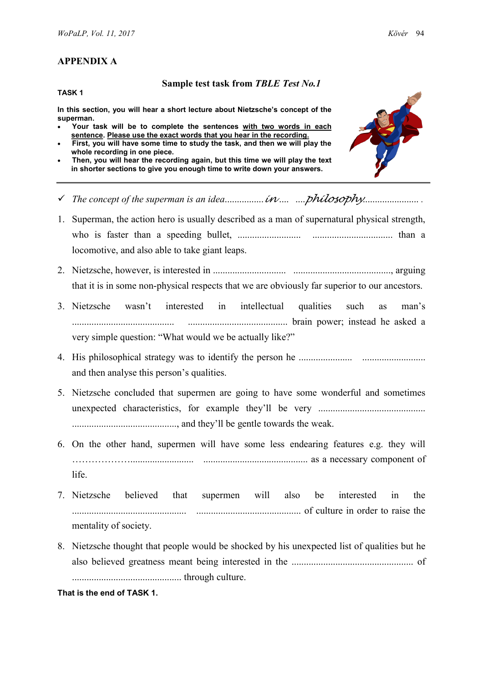# APPENDIX A

#### TASK 1

#### Sample test task from TBLE Test No.1

In this section, you will hear a short lecture about Nietzsche's concept of the superman.

- Your task will be to complete the sentences with two words in each sentence. Please use the exact words that you hear in the recording.
- First, you will have some time to study the task, and then we will play the whole recording in one piece.
- Then, you will hear the recording again, but this time we will play the text in shorter sections to give you enough time to write down your answers.



- The concept of the superman is an idea................in .... ....philosophy....................... .
- 1. Superman, the action hero is usually described as a man of supernatural physical strength, who is faster than a speeding bullet, .......................... ................................. than a locomotive, and also able to take giant leaps.
- 2. Nietzsche, however, is interested in .............................. ........................................, arguing that it is in some non-physical respects that we are obviously far superior to our ancestors.
- 3. Nietzsche wasn't interested in intellectual qualities such as man's .......................................... ......................................... brain power; instead he asked a very simple question: "What would we be actually like?"
- 4. His philosophical strategy was to identify the person he ...................... .......................... and then analyse this person's qualities.
- 5. Nietzsche concluded that supermen are going to have some wonderful and sometimes unexpected characteristics, for example they'll be very ............................................ ..........................................., and they'll be gentle towards the weak.
- 6. On the other hand, supermen will have some less endearing features e.g. they will ……………….......................... ........................................... as a necessary component of life.
- 7. Nietzsche believed that supermen will also be interested in the ............................................... ........................................... of culture in order to raise the mentality of society.
- 8. Nietzsche thought that people would be shocked by his unexpected list of qualities but he also believed greatness meant being interested in the .................................................. of ............................................. through culture.

### That is the end of TASK 1.